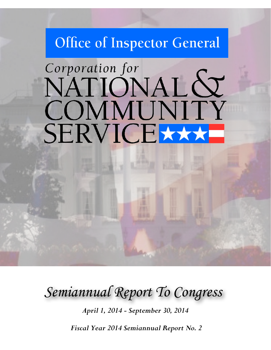## Office of Inspector General

# Corporation for NATIONAL & COMMUNITY SERVICE

*Semiannual Report To Congress*

*April 1, 2014 - September 30, 2014*

*Fiscal Year 2014 Semiannual Report No. 2*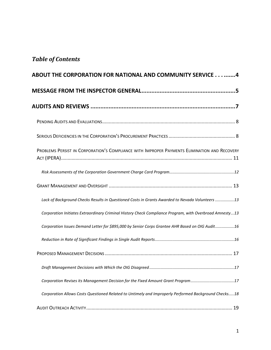## *Table of Contents*

| ABOUT THE CORPORATION FOR NATIONAL AND COMMUNITY SERVICE 4                                              |
|---------------------------------------------------------------------------------------------------------|
|                                                                                                         |
|                                                                                                         |
|                                                                                                         |
|                                                                                                         |
| PROBLEMS PERSIST IN CORPORATION'S COMPLIANCE WITH IMPROPER PAYMENTS ELIMINATION AND RECOVERY            |
|                                                                                                         |
|                                                                                                         |
| Lack of Background Checks Results in Questioned Costs in Grants Awarded to Nevada Volunteers 13         |
| Corporation Initiates Extraordinary Criminal History Check Compliance Program, with Overbroad Amnesty13 |
| Corporation Issues Demand Letter for \$895,000 by Senior Corps Grantee AHR Based on OIG Audit16         |
|                                                                                                         |
|                                                                                                         |
| . 17                                                                                                    |
| Corporation Revises its Management Decision for the Fixed Amount Grant Program17                        |
| Corporation Allows Costs Questioned Related to Untimely and Improperly Performed Background Checks18    |
|                                                                                                         |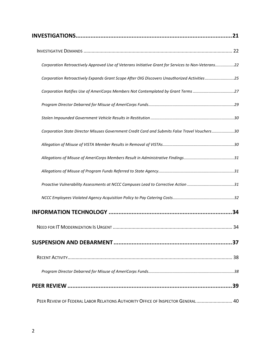| Corporation Retroactively Approved Use of Veterans Initiative Grant for Services to Non-Veterans22 |  |
|----------------------------------------------------------------------------------------------------|--|
| Corporation Retroactively Expands Grant Scope After OIG Discovers Unauthorized Activities25        |  |
| Corporation Ratifies Use of AmeriCorps Members Not Contemplated by Grant Terms27                   |  |
|                                                                                                    |  |
|                                                                                                    |  |
| Corporation State Director Misuses Government Credit Card and Submits False Travel Vouchers30      |  |
|                                                                                                    |  |
|                                                                                                    |  |
|                                                                                                    |  |
|                                                                                                    |  |
|                                                                                                    |  |
|                                                                                                    |  |
|                                                                                                    |  |
|                                                                                                    |  |
|                                                                                                    |  |
|                                                                                                    |  |
|                                                                                                    |  |
| PEER REVIEW OF FEDERAL LABOR RELATIONS AUTHORITY OFFICE OF INSPECTOR GENERAL  40                   |  |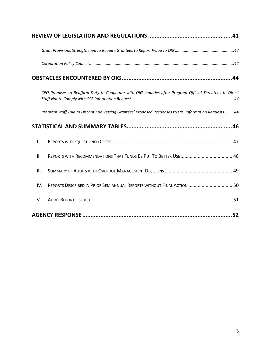| CEO Promises to Reaffirm Duty to Cooperate with OIG Inquiries after Program Official Threatens to Direct |
|----------------------------------------------------------------------------------------------------------|
| Program Staff Told to Discontinue Vetting Grantees' Proposed Responses to OIG Information Requests44     |
|                                                                                                          |
| I.                                                                                                       |
| ΙΙ.                                                                                                      |
| III.                                                                                                     |
| REPORTS DESCRIBED IN PRIOR SEMIANNUAL REPORTS WITHOUT FINAL ACTION  50<br>IV.                            |
| V.                                                                                                       |
|                                                                                                          |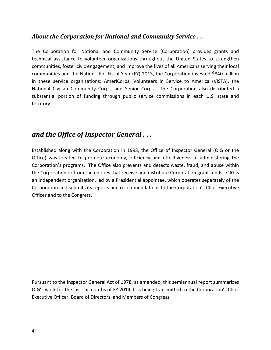#### <span id="page-4-0"></span>*About the Corporation for National and Community Service . . .*

The Corporation for National and Community Service (Corporation) provides grants and technical assistance to volunteer organizations throughout the United States to strengthen communities, foster civic engagement, and improve the lives of all Americans serving their local communities and the Nation. For Fiscal Year (FY) 2013, the Corporation invested \$840 million in these service organizations: AmeriCorps, Volunteers in Service to America (VISTA), the National Civilian Community Corps, and Senior Corps. The Corporation also distributed a substantial portion of funding through public service commissions in each U.S. state and territory.

## *and the Office of Inspector General . . .*

Established along with the Corporation in 1993, the Office of Inspector General (OIG or the Office) was created to promote economy, efficiency and effectiveness in administering the Corporation's programs. The Office also prevents and detects waste, fraud, and abuse within the Corporation or from the entities that receive and distribute Corporation grant funds. OIG is an independent organization, led by a Presidential appointee, which operates separately of the Corporation and submits its reports and recommendations to the Corporation's Chief Executive Officer and to the Congress.

Pursuant to the Inspector General Act of 1978, as amended, this semiannual report summarizes OIG's work for the last six months of FY 2014. It is being transmitted to the Corporation's Chief Executive Officer, Board of Directors, and Members of Congress.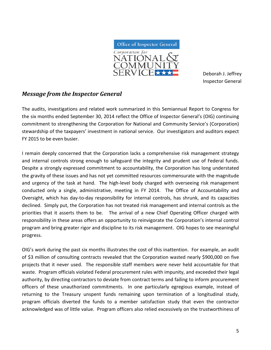

Deborah J. Jeffrey Inspector General

#### <span id="page-5-0"></span>*Message from the Inspector General*

The audits, investigations and related work summarized in this Semiannual Report to Congress for the six months ended September 30, 2014 reflect the Office of Inspector General's (OIG) continuing commitment to strengthening the Corporation for National and Community Service's (Corporation) stewardship of the taxpayers' investment in national service. Our investigators and auditors expect FY 2015 to be even busier.

I remain deeply concerned that the Corporation lacks a comprehensive risk management strategy and internal controls strong enough to safeguard the integrity and prudent use of Federal funds. Despite a strongly expressed commitment to accountability, the Corporation has long understated the gravity of these issues and has not yet committed resources commensurate with the magnitude and urgency of the task at hand. The high-level body charged with overseeing risk management conducted only a single, administrative, meeting in FY 2014. The Office of Accountability and Oversight, which has day-to-day responsibility for internal controls, has shrunk, and its capacities declined. Simply put, the Corporation has not treated risk management and internal controls as the priorities that it asserts them to be. The arrival of a new Chief Operating Officer charged with responsibility in these areas offers an opportunity to reinvigorate the Corporation's internal control program and bring greater rigor and discipline to its risk management. OIG hopes to see meaningful progress.

OIG's work during the past six months illustrates the cost of this inattention. For example, an audit of \$3 million of consulting contracts revealed that the Corporation wasted nearly \$900,000 on five projects that it never used. The responsible staff members were never held accountable for that waste. Program officials violated Federal procurement rules with impunity, and exceeded their legal authority, by directing contractors to deviate from contract terms and failing to inform procurement officers of these unauthorized commitments. In one particularly egregious example, instead of returning to the Treasury unspent funds remaining upon termination of a longitudinal study, program officials diverted the funds to a member satisfaction study that even the contractor acknowledged was of little value. Program officers also relied excessively on the trustworthiness of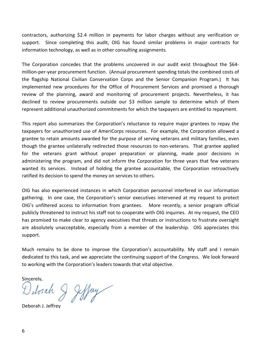contractors, authorizing \$2.4 million in payments for labor charges without any verification or support. Since completing this audit, OIG has found similar problems in major contracts for information technology, as well as in other consulting assignments.

The Corporation concedes that the problems uncovered in our audit exist throughout the \$64million-per-year procurement function. (Annual procurement spending totals the combined costs of the flagship National Civilian Conservation Corps and the Senior Companion Program.) It has implemented new procedures for the Office of Procurement Services and promised a thorough review of the planning, award and monitoring of procurement projects. Nevertheless, it has declined to review procurements outside our \$3 million sample to determine which of them represent additional unauthorized commitments for which the taxpayers are entitled to repayment.

This report also summarizes the Corporation's reluctance to require major grantees to repay the taxpayers for unauthorized use of AmeriCorps resources. For example, the Corporation allowed a grantee to retain amounts awarded for the purpose of serving veterans and military families, even though the grantee unilaterally redirected those resources to non-veterans. That grantee applied for the veterans grant without proper preparation or planning, made poor decisions in administering the program, and did not inform the Corporation for three years that few veterans wanted its services. Instead of holding the grantee accountable, the Corporation retroactively ratified its decision to spend the money on services to others.

OIG has also experienced instances in which Corporation personnel interfered in our information gathering. In one case, the Corporation's senior executives intervened at my request to protect OIG's unfiltered access to information from grantees. More recently, a senior program official publicly threatened to instruct his staff not to cooperate with OIG inquiries. At my request, the CEO has promised to make clear to agency executives that threats or instructions to frustrate oversight are absolutely unacceptable, especially from a member of the leadership. OIG appreciates this support.

Much remains to be done to improve the Corporation's accountability. My staff and I remain dedicated to this task, and we appreciate the continuing support of the Congress. We look forward to working with the Corporation's leaders towards that vital objective.

Sincerely,

Detoiah & Jeffry

Deborah J. Jeffrey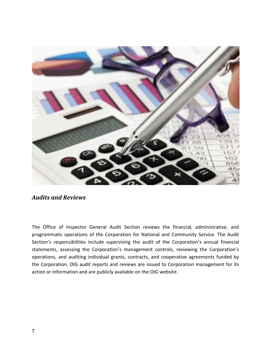

<span id="page-7-0"></span>The Office of Inspector General Audit Section reviews the financial, administrative, and programmatic operations of the Corporation for National and Community Service. The Audit Section's responsibilities include supervising the audit of the Corporation's annual financial statements, assessing the Corporation's management controls, reviewing the Corporation's operations, and auditing individual grants, contracts, and cooperative agreements funded by the Corporation. OIG audit reports and reviews are issued to Corporation management for its action or information and are publicly available on the OIG website.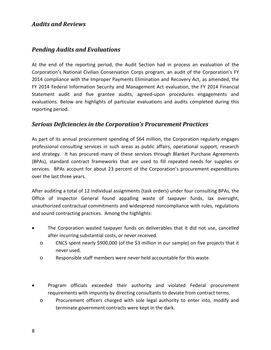#### <span id="page-8-0"></span>*Pending Audits and Evaluations*

At the end of the reporting period, the Audit Section had in process an evaluation of the Corporation's National Civilian Conservation Corps program, an audit of the Corporation's FY 2014 compliance with the Improper Payments Elimination and Recovery Act, as amended, the FY 2014 Federal Information Security and Management Act evaluation, the FY 2014 Financial Statement audit and five grantee audits, agreed-upon procedures engagements and evaluations. Below are highlights of particular evaluations and audits completed during this reporting period.

#### <span id="page-8-1"></span>*Serious Deficiencies in the Corporation's Procurement Practices*

As part of its annual procurement spending of \$64 million, the Corporation regularly engages professional consulting services in such areas as public affairs, operational support, research and strategy. It has procured many of these services through Blanket Purchase Agreements (BPAs), standard contract frameworks that are used to fill repeated needs for supplies or services. BPAs account for about 23 percent of the Corporation's procurement expenditures over the last three years.

After auditing a total of 12 individual assignments (task orders) under four consulting BPAs, the Office of Inspector General found appalling waste of taxpayer funds, lax oversight, unauthorized contractual commitments and widespread noncompliance with rules, regulations and sound contracting practices. Among the highlights:

- The Corporation wasted taxpayer funds on deliverables that it did not use, cancelled after incurring substantial costs, or never received.
	- o CNCS spent nearly \$900,000 (of the \$3 million in our sample) on five projects that it never used.
	- o Responsible staff members were never held accountable for this waste.
- Program officials exceeded their authority and violated Federal procurement requirements with impunity by directing consultants to deviate from contract terms.
	- o Procurement officers charged with sole legal authority to enter into, modify and terminate government contracts were kept in the dark.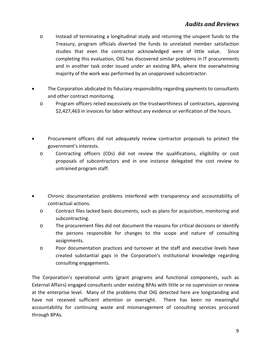- o Instead of terminating a longitudinal study and returning the unspent funds to the Treasury, program officials diverted the funds to unrelated member satisfaction studies that even the contractor acknowledged were of little value. Since completing this evaluation, OIG has discovered similar problems in IT procurements and in another task order issued under an existing BPA, where the overwhelming majority of the work was performed by an unapproved subcontractor.
- The Corporation abdicated its fiduciary responsibility regarding payments to consultants and other contract monitoring.
	- o Program officers relied excessively on the trustworthiness of contractors, approving \$2,427,463 in invoices for labor without any evidence or verification of the hours.
- Procurement officers did not adequately review contractor proposals to protect the government's interests.
	- o Contracting officers (COs) did not review the qualifications, eligibility or cost proposals of subcontractors and in one instance delegated the cost review to untrained program staff.
- Chronic documentation problems interfered with transparency and accountability of contractual actions.
	- o Contract files lacked basic documents, such as plans for acquisition, monitoring and subcontracting.
	- o The procurement files did not document the reasons for critical decisions or identify the persons responsible for changes to the scope and nature of consulting assignments.
	- o Poor documentation practices and turnover at the staff and executive levels have created substantial gaps in the Corporation's institutional knowledge regarding consulting engagements.

The Corporation's operational units (grant programs and functional components, such as External Affairs) engaged consultants under existing BPAs with little or no supervision or review at the enterprise level. Many of the problems that OIG detected here are longstanding and have not received sufficient attention or oversight. There has been no meaningful accountability for continuing waste and mismanagement of consulting services procured through BPAs.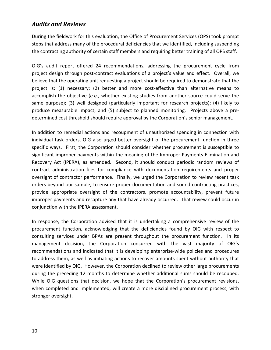During the fieldwork for this evaluation, the Office of Procurement Services (OPS) took prompt steps that address many of the procedural deficiencies that we identified, including suspending the contracting authority of certain staff members and requiring better training of all OPS staff.

OIG's audit report offered 24 recommendations, addressing the procurement cycle from project design through post-contract evaluations of a project's value and effect. Overall, we believe that the operating unit requesting a project should be required to demonstrate that the project is: (1) necessary; (2) better and more cost-effective than alternative means to accomplish the objective (*e.g*., whether existing studies from another source could serve the same purpose); (3) well designed (particularly important for research projects); (4) likely to produce measurable impact; and (5) subject to planned monitoring. Projects above a predetermined cost threshold should require approval by the Corporation's senior management.

In addition to remedial actions and recoupment of unauthorized spending in connection with individual task orders, OIG also urged better oversight of the procurement function in three specific ways. First, the Corporation should consider whether procurement is susceptible to significant improper payments within the meaning of the Improper Payments Elimination and Recovery Act (IPERA), as amended. Second, it should conduct periodic random reviews of contract administration files for compliance with documentation requirements and proper oversight of contractor performance. Finally, we urged the Corporation to review recent task orders beyond our sample, to ensure proper documentation and sound contracting practices, provide appropriate oversight of the contractors, promote accountability, prevent future improper payments and recapture any that have already occurred. That review could occur in conjunction with the IPERA assessment.

In response, the Corporation advised that it is undertaking a comprehensive review of the procurement function, acknowledging that the deficiencies found by OIG with respect to consulting services under BPAs are present throughout the procurement function. In its management decision, the Corporation concurred with the vast majority of OIG's recommendations and indicated that it is developing enterprise-wide policies and procedures to address them, as well as initiating actions to recover amounts spent without authority that were identified by OIG. However, the Corporation declined to review other large procurements during the preceding 12 months to determine whether additional sums should be recouped. While OIG questions that decision, we hope that the Corporation's procurement revisions, when completed and implemented, will create a more disciplined procurement process, with stronger oversight.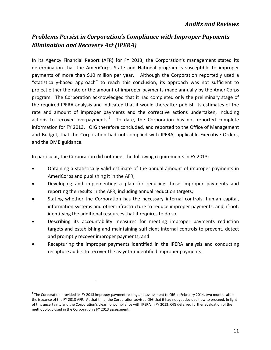## <span id="page-11-0"></span>*Problems Persist in Corporation's Compliance with Improper Payments Elimination and Recovery Act (IPERA)*

In its Agency Financial Report (AFR) for FY 2013, the Corporation's management stated its determination that the AmeriCorps State and National program is susceptible to improper payments of more than \$10 million per year. Although the Corporation reportedly used a "statistically-based approach" to reach this conclusion, its approach was not sufficient to project either the rate or the amount of improper payments made annually by the AmeriCorps program. The Corporation acknowledged that it had completed only the preliminary stage of the required IPERA analysis and indicated that it would thereafter publish its estimates of the rate and amount of improper payments and the corrective actions undertaken, including actions to recover overpayments. $1$  To date, the Corporation has not reported complete information for FY 2013. OIG therefore concluded, and reported to the Office of Management and Budget, that the Corporation had not complied with IPERA, applicable Executive Orders, and the OMB guidance.

In particular, the Corporation did not meet the following requirements in FY 2013:

- Obtaining a statistically valid estimate of the annual amount of improper payments in AmeriCorps and publishing it in the AFR;
- Developing and implementing a plan for reducing those improper payments and reporting the results in the AFR, including annual reduction targets;
- Stating whether the Corporation has the necessary internal controls, human capital, information systems and other infrastructure to reduce improper payments, and, if not, identifying the additional resources that it requires to do so;
- Describing its accountability measures for meeting improper payments reduction targets and establishing and maintaining sufficient internal controls to prevent, detect and promptly recover improper payments; and
- Recapturing the improper payments identified in the IPERA analysis and conducting recapture audits to recover the as-yet-unidentified improper payments.

 $\overline{a}$ 

 $1$  The Corporation provided its FY 2013 improper payment testing and assessment to OIG in February 2014, two months after the issuance of the FY 2013 AFR. At that time, the Corporation advised OIG that it had not yet decided how to proceed. In light of this uncertainty and the Corporation's clear noncompliance with IPERA in FY 2013, OIG deferred further evaluation of the methodology used in the Corporation's FY 2013 assessment.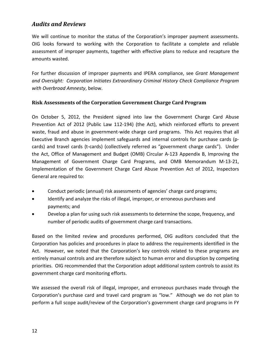We will continue to monitor the status of the Corporation's improper payment assessments. OIG looks forward to working with the Corporation to facilitate a complete and reliable assessment of improper payments, together with effective plans to reduce and recapture the amounts wasted.

For further discussion of improper payments and IPERA compliance, see *Grant Management and Oversight: Corporation Initiates Extraordinary Criminal History Check Compliance Program with Overbroad Amnesty*, below.

#### <span id="page-12-0"></span>**Risk Assessments of the Corporation Government Charge Card Program**

On October 5, 2012, the President signed into law the Government Charge Card Abuse Prevention Act of 2012 (Public Law 112-194) (the Act), which reinforced efforts to prevent waste, fraud and abuse in government-wide charge card programs. This Act requires that all Executive Branch agencies implement safeguards and internal controls for purchase cards (pcards) and travel cards (t-cards) (collectively referred as "government charge cards"). Under the Act, Office of Management and Budget (OMB) Circular A-123 Appendix B, Improving the Management of Government Charge Card Programs, and OMB Memorandum M-13-21, Implementation of the Government Charge Card Abuse Prevention Act of 2012, Inspectors General are required to:

- Conduct periodic (annual) risk assessments of agencies' charge card programs;
- Identify and analyze the risks of illegal, improper, or erroneous purchases and payments; and
- Develop a plan for using such risk assessments to determine the scope, frequency, and number of periodic audits of government charge card transactions.

Based on the limited review and procedures performed, OIG auditors concluded that the Corporation has policies and procedures in place to address the requirements identified in the Act. However, we noted that the Corporation's key controls related to these programs are entirely manual controls and are therefore subject to human error and disruption by competing priorities. OIG recommended that the Corporation adopt additional system controls to assist its government charge card monitoring efforts.

We assessed the overall risk of illegal, improper, and erroneous purchases made through the Corporation's purchase card and travel card program as "low." Although we do not plan to perform a full scope audit/review of the Corporation's government charge card programs in FY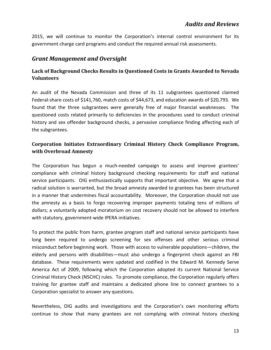2015, we will continue to monitor the Corporation's internal control environment for its government charge card programs and conduct the required annual risk assessments.

#### <span id="page-13-0"></span>*Grant Management and Oversight*

#### <span id="page-13-1"></span>**Lack of Background Checks Results in Questioned Costs in Grants Awarded to Nevada Volunteers**

An audit of the Nevada Commission and three of its 11 subgrantees questioned claimed Federal-share costs of \$141,760, match costs of \$44,673, and education awards of \$20,793. We found that the three subgrantees were generally free of major financial weaknesses. The questioned costs related primarily to deficiencies in the procedures used to conduct criminal history and sex offender background checks, a pervasive compliance finding affecting each of the subgrantees.

#### <span id="page-13-2"></span>**Corporation Initiates Extraordinary Criminal History Check Compliance Program, with Overbroad Amnesty**

The Corporation has begun a much-needed campaign to assess and improve grantees' compliance with criminal history background checking requirements for staff and national service participants. OIG enthusiastically supports that important objective. We agree that a radical solution is warranted, but the broad amnesty awarded to grantees has been structured in a manner that undermines fiscal accountability. Moreover, the Corporation should not use the amnesty as a basis to forgo recovering improper payments totaling tens of millions of dollars; a voluntarily adopted moratorium on cost recovery should not be allowed to interfere with statutory, government-wide IPERA initiatives.

To protect the public from harm, grantee program staff and national service participants have long been required to undergo screening for sex offenses and other serious criminal misconduct before beginning work. Those with access to vulnerable populations—children, the elderly and persons with disabilities—must also undergo a fingerprint check against an FBI database. These requirements were updated and codified in the Edward M. Kennedy Serve America Act of 2009, following which the Corporation adopted its current National Service Criminal History Check (NSCHC) rules. To promote compliance, the Corporation regularly offers training for grantee staff and maintains a dedicated phone line to connect grantees to a Corporation specialist to answer any questions.

Nevertheless, OIG audits and investigations and the Corporation's own monitoring efforts continue to show that many grantees are not complying with criminal history checking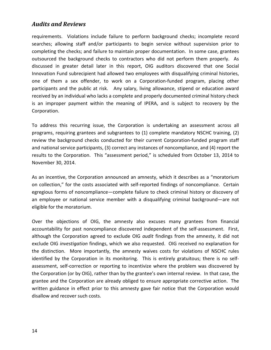requirements. Violations include failure to perform background checks; incomplete record searches; allowing staff and/or participants to begin service without supervision prior to completing the checks; and failure to maintain proper documentation. In some case, grantees outsourced the background checks to contractors who did not perform them properly. As discussed in greater detail later in this report, OIG auditors discovered that one Social Innovation Fund subrecipient had allowed two employees with disqualifying criminal histories, one of them a sex offender, to work on a Corporation-funded program, placing other participants and the public at risk. Any salary, living allowance, stipend or education award received by an individual who lacks a complete and properly documented criminal history check is an improper payment within the meaning of IPERA, and is subject to recovery by the Corporation.

To address this recurring issue, the Corporation is undertaking an assessment across all programs, requiring grantees and subgrantees to (1) complete mandatory NSCHC training, (2) review the background checks conducted for their current Corporation-funded program staff and national service participants, (3) correct any instances of noncompliance, and (4) report the results to the Corporation. This "assessment period," is scheduled from October 13, 2014 to November 30, 2014.

As an incentive, the Corporation announced an amnesty, which it describes as a "moratorium on collection," for the costs associated with self-reported findings of noncompliance. Certain egregious forms of noncompliance—complete failure to check criminal history or discovery of an employee or national service member with a disqualifying criminal background—are not eligible for the moratorium.

Over the objections of OIG, the amnesty also excuses many grantees from financial accountability for past noncompliance discovered independent of the self-assessment. First, although the Corporation agreed to exclude OIG *audit* findings from the amnesty, it did not exclude OIG *investigation* findings, which we also requested. OIG received no explanation for the distinction. More importantly, the amnesty waives costs for violations of NSCHC rules identified by the Corporation in its monitoring. This is entirely gratuitous; there is no selfassessment, self-correction or reporting to incentivize where the problem was discovered by the Corporation (or by OIG), rather than by the grantee's own internal review. In that case, the grantee and the Corporation are already obliged to ensure appropriate corrective action. The written guidance in effect prior to this amnesty gave fair notice that the Corporation would disallow and recover such costs.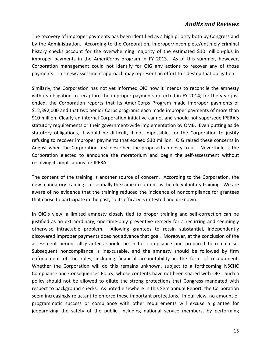The recovery of improper payments has been identified as a high priority both by Congress and by the Administration. According to the Corporation, improper/incomplete/untimely criminal history checks account for the overwhelming majority of the estimated \$10 million-plus in improper payments in the AmeriCorps program in FY 2013. As of this summer, however, Corporation management could not identify for OIG any actions to recover any of those payments. This new assessment approach may represent an effort to sidestep that obligation.

Similarly, the Corporation has not yet informed OIG how it intends to reconcile the amnesty with its obligation to recapture the improper payments detected in FY 2014; for the year just ended, the Corporation reports that its AmeriCorps Program made improper payments of \$12,392,000 and that two Senior Corps programs each made improper payments of more than \$10 million. Clearly an internal Corporation initiative cannot and should not supersede IPERA's statutory requirements or their government-wide implementation by OMB. Even putting aside statutory obligations, it would be difficult, if not impossible, for the Corporation to justify refusing to recover improper payments that exceed \$30 million. OIG raised these concerns in August when the Corporation first described the proposed amnesty to us. Nevertheless, the Corporation elected to announce the moratorium and begin the self-assessment without resolving its implications for IPERA.

The content of the training is another source of concern. According to the Corporation, the new mandatory training is essentially the same in content as the old voluntary training. We are aware of no evidence that the training reduced the incidence of noncompliance for grantees that chose to participate in the past, so its efficacy is untested and unknown.

In OIG's view, a limited amnesty closely tied to proper training and self-correction can be justified as an extraordinary, one-time-only preventive remedy for a recurring and seemingly otherwise intractable problem. Allowing grantees to retain substantial, independently discovered improper payments does not advance that goal. Moreover, at the conclusion of the assessment period, all grantees should be in full compliance and prepared to remain so. Subsequent noncompliance is inexcusable, and the amnesty should be followed by firm enforcement of the rules, including financial accountability in the form of recoupment. Whether the Corporation will do this remains unknown, subject to a forthcoming NSCHC Compliance and Consequences Policy, whose contents have not been shared with OIG. Such a policy should not be allowed to dilute the strong protections that Congress mandated with respect to background checks. As noted elsewhere in this Semiannual Report, the Corporation seem increasingly reluctant to enforce these important protections. In our view, no amount of programmatic success or compliance with other requirements will excuse a grantee for jeopardizing the safety of the public, including national service members, by performing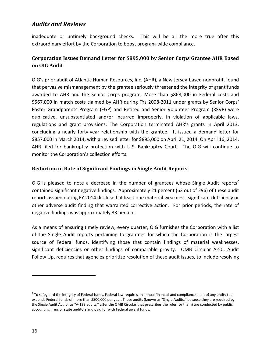inadequate or untimely background checks. This will be all the more true after this extraordinary effort by the Corporation to boost program-wide compliance.

#### <span id="page-16-0"></span>**Corporation Issues Demand Letter for \$895,000 by Senior Corps Grantee AHR Based on OIG Audit**

OIG's prior audit of Atlantic Human Resources, Inc. (AHR), a New Jersey-based nonprofit, found that pervasive mismanagement by the grantee seriously threatened the integrity of grant funds awarded to AHR and the Senior Corps program. More than \$868,000 in Federal costs and \$567,000 in match costs claimed by AHR during FYs 2008-2011 under grants by Senior Corps' Foster Grandparents Program (FGP) and Retired and Senior Volunteer Program (RSVP) were duplicative, unsubstantiated and/or incurred improperly, in violation of applicable laws, regulations and grant provisions. The Corporation terminated AHR's grants in April 2013, concluding a nearly forty-year relationship with the grantee. It issued a demand letter for \$857,000 in March 2014, with a revised letter for \$895,000 on April 21, 2014. On April 16, 2014, AHR filed for bankruptcy protection with U.S. Bankruptcy Court. The OIG will continue to monitor the Corporation's collection efforts.

#### <span id="page-16-1"></span>**Reduction in Rate of Significant Findings in Single Audit Reports**

OIG is pleased to note a decrease in the number of grantees whose Single Audit reports<sup>2</sup> contained significant negative findings. Approximately 21 percent (63 out of 296) of these audit reports issued during FY 2014 disclosed at least one material weakness, significant deficiency or other adverse audit finding that warranted corrective action. For prior periods, the rate of negative findings was approximately 33 percent.

As a means of ensuring timely review, every quarter, OIG furnishes the Corporation with a list of the Single Audit reports pertaining to grantees for which the Corporation is the largest source of Federal funds, identifying those that contain findings of material weaknesses, significant deficiencies or other findings of comparable gravity. OMB Circular A-50, Audit Follow Up, requires that agencies prioritize resolution of these audit issues, to include resolving

 $\overline{a}$ 

 $<sup>2</sup>$  To safeguard the integrity of Federal funds, Federal law requires an annual financial and compliance audit of any entity that</sup> expends Federal funds of more than \$500,000 per year. These audits (known as "Single Audits," because they are required by the Single Audit Act, or as "A-133 audits," after the OMB Circular that prescribes the rules for them) are conducted by public accounting firms or state auditors and paid for with Federal award funds.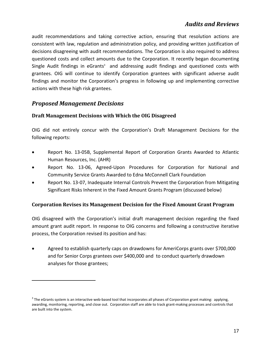audit recommendations and taking corrective action, ensuring that resolution actions are consistent with law, regulation and administration policy, and providing written justification of decisions disagreeing with audit recommendations. The Corporation is also required to address questioned costs and collect amounts due to the Corporation. It recently began documenting Single Audit findings in eGrants $3$  and addressing audit findings and questioned costs with grantees. OIG will continue to identify Corporation grantees with significant adverse audit findings and monitor the Corporation's progress in following up and implementing corrective actions with these high risk grantees.

#### <span id="page-17-0"></span>*Proposed Management Decisions*

 $\overline{a}$ 

#### <span id="page-17-1"></span>**Draft Management Decisions with Which the OIG Disagreed**

OIG did not entirely concur with the Corporation's Draft Management Decisions for the following reports:

- Report No. 13-05B, Supplemental Report of Corporation Grants Awarded to Atlantic Human Resources, Inc. (AHR)
- Report No. 13-06, Agreed-Upon Procedures for Corporation for National and Community Service Grants Awarded to Edna McConnell Clark Foundation
- Report No. 13-07, Inadequate Internal Controls Prevent the Corporation from Mitigating Significant Risks Inherent in the Fixed Amount Grants Program (discussed below)

#### <span id="page-17-2"></span>**Corporation Revises its Management Decision for the Fixed Amount Grant Program**

OIG disagreed with the Corporation's initial draft management decision regarding the fixed amount grant audit report. In response to OIG concerns and following a constructive iterative process, the Corporation revised its position and has:

• Agreed to establish quarterly caps on drawdowns for AmeriCorps grants over \$700,000 and for Senior Corps grantees over \$400,000 and to conduct quarterly drawdown analyses for those grantees;

 $3$  The eGrants system is an interactive web-based tool that incorporates all phases of Corporation grant making: applying, awarding, monitoring, reporting, and close out. Corporation staff are able to track grant-making processes and controls that are built into the system.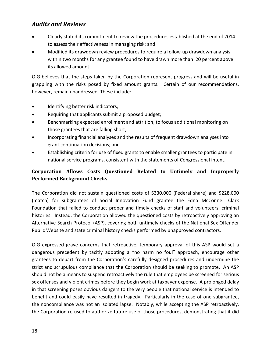- Clearly stated its commitment to review the procedures established at the end of 2014 to assess their effectiveness in managing risk; and
- Modified its drawdown review procedures to require a follow-up drawdown analysis within two months for any grantee found to have drawn more than 20 percent above its allowed amount.

OIG believes that the steps taken by the Corporation represent progress and will be useful in grappling with the risks posed by fixed amount grants. Certain of our recommendations, however, remain unaddressed. These include:

- Identifying better risk indicators;
- Requiring that applicants submit a proposed budget;
- Benchmarking expected enrollment and attrition, to focus additional monitoring on those grantees that are falling short;
- Incorporating financial analyses and the results of frequent drawdown analyses into grant continuation decisions; and
- Establishing criteria for use of fixed grants to enable smaller grantees to participate in national service programs, consistent with the statements of Congressional intent.

#### <span id="page-18-0"></span>**Corporation Allows Costs Questioned Related to Untimely and Improperly Performed Background Checks**

The Corporation did not sustain questioned costs of \$330,000 (Federal share) and \$228,000 (match) for subgrantees of Social Innovation Fund grantee the Edna McConnell Clark Foundation that failed to conduct proper and timely checks of staff and volunteers' criminal histories. Instead, the Corporation allowed the questioned costs by retroactively approving an Alternative Search Protocol (ASP), covering both untimely checks of the National Sex Offender Public Website and state criminal history checks performed by unapproved contractors.

OIG expressed grave concerns that retroactive, temporary approval of this ASP would set a dangerous precedent by tacitly adopting a "no harm no foul" approach, encourage other grantees to depart from the Corporation's carefully designed procedures and undermine the strict and scrupulous compliance that the Corporation should be seeking to promote. An ASP should not be a means to suspend retroactively the rule that employees be screened for serious sex offenses and violent crimes before they begin work at taxpayer expense. A prolonged delay in that screening poses obvious dangers to the very people that national service is intended to benefit and could easily have resulted in tragedy. Particularly in the case of one subgrantee, the noncompliance was not an isolated lapse. Notably, while accepting the ASP retroactively, the Corporation refused to authorize future use of those procedures, demonstrating that it did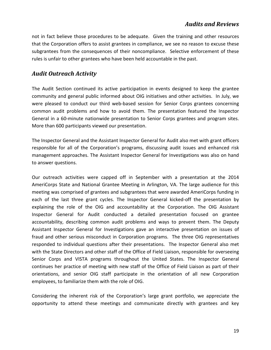not in fact believe those procedures to be adequate. Given the training and other resources that the Corporation offers to assist grantees in compliance, we see no reason to excuse these subgrantees from the consequences of their noncompliance. Selective enforcement of these rules is unfair to other grantees who have been held accountable in the past.

#### <span id="page-19-0"></span>*Audit Outreach Activity*

The Audit Section continued its active participation in events designed to keep the grantee community and general public informed about OIG initiatives and other activities. In July, we were pleased to conduct our third web-based session for Senior Corps grantees concerning common audit problems and how to avoid them. The presentation featured the Inspector General in a 60-minute nationwide presentation to Senior Corps grantees and program sites. More than 600 participants viewed our presentation.

The Inspector General and the Assistant Inspector General for Audit also met with grant officers responsible for all of the Corporation's programs, discussing audit issues and enhanced risk management approaches. The Assistant Inspector General for Investigations was also on hand to answer questions.

Our outreach activities were capped off in September with a presentation at the 2014 AmeriCorps State and National Grantee Meeting in Arlington, VA. The large audience for this meeting was comprised of grantees and subgrantees that were awarded AmeriCorps funding in each of the last three grant cycles. The Inspector General kicked-off the presentation by explaining the role of the OIG and accountability at the Corporation. The OIG Assistant Inspector General for Audit conducted a detailed presentation focused on grantee accountability, describing common audit problems and ways to prevent them. The Deputy Assistant Inspector General for Investigations gave an interactive presentation on issues of fraud and other serious misconduct in Corporation programs. The three OIG representatives responded to individual questions after their presentations. The Inspector General also met with the State Directors and other staff of the Office of Field Liaison, responsible for overseeing Senior Corps and VISTA programs throughout the United States. The Inspector General continues her practice of meeting with new staff of the Office of Field Liaison as part of their orientations, and senior OIG staff participate in the orientation of all new Corporation employees, to familiarize them with the role of OIG.

Considering the inherent risk of the Corporation's large grant portfolio, we appreciate the opportunity to attend these meetings and communicate directly with grantees and key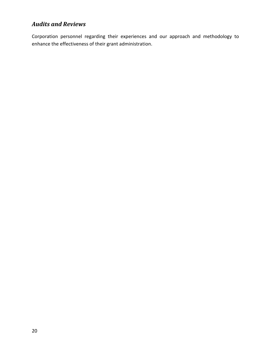Corporation personnel regarding their experiences and our approach and methodology to enhance the effectiveness of their grant administration.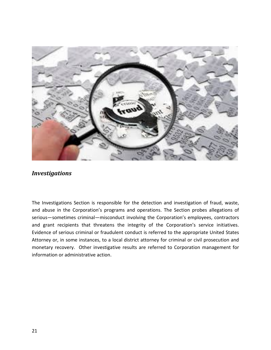

<span id="page-21-0"></span>The Investigations Section is responsible for the detection and investigation of fraud, waste, and abuse in the Corporation's programs and operations. The Section probes allegations of serious—sometimes criminal—misconduct involving the Corporation's employees, contractors and grant recipients that threatens the integrity of the Corporation's service initiatives. Evidence of serious criminal or fraudulent conduct is referred to the appropriate United States Attorney or, in some instances, to a local district attorney for criminal or civil prosecution and monetary recovery. Other investigative results are referred to Corporation management for information or administrative action.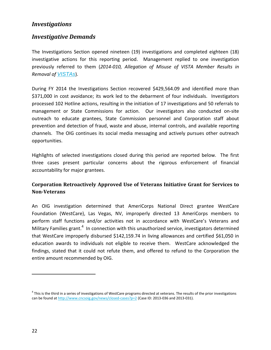#### <span id="page-22-0"></span>*Investigative Demands*

The Investigations Section opened nineteen (19) investigations and completed eighteen (18) investigative actions for this reporting period. Management replied to one investigation previously referred to them (*2014-010, Allegation of Misuse of VISTA Member Results in Removal of [VISTAs](#page-30-2)*).

During FY 2014 the Investigations Section recovered \$429,564.09 and identified more than \$371,000 in cost avoidance; its work led to the debarment of four individuals. Investigators processed 102 Hotline actions, resulting in the initiation of 17 investigations and 50 referrals to management or State Commissions for action. Our investigators also conducted on-site outreach to educate grantees, State Commission personnel and Corporation staff about prevention and detection of fraud, waste and abuse, internal controls, and available reporting channels. The OIG continues its social media messaging and actively pursues other outreach opportunities.

Highlights of selected investigations closed during this period are reported below. The first three cases present particular concerns about the rigorous enforcement of financial accountability for major grantees.

#### <span id="page-22-1"></span>**Corporation Retroactively Approved Use of Veterans Initiative Grant for Services to Non-Veterans**

An OIG investigation determined that AmeriCorps National Direct grantee WestCare Foundation (WestCare), Las Vegas, NV, improperly directed 13 AmeriCorps members to perform staff functions and/or activities not in accordance with WestCare's Veterans and Military Families grant.<sup>4</sup> In connection with this unauthorized service, investigators determined that WestCare improperly disbursed \$142,159.74 in living allowances and certified \$61,050 in education awards to individuals not eligible to receive them. WestCare acknowledged the findings, stated that it could not refute them, and offered to refund to the Corporation the entire amount recommended by OIG.

 $\overline{a}$ 

 $4$  This is the third in a series of investigations of WestCare programs directed at veterans. The results of the prior investigations can be found a[t http://www.cncsoig.gov/news/closed-cases?p=2](http://www.cncsoig.gov/news/closed-cases?p=2) (Case ID: 2013-036 and 2013-031).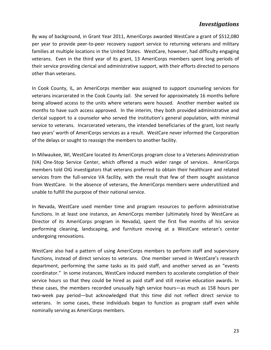By way of background, in Grant Year 2011, AmeriCorps awarded WestCare a grant of \$512,080 per year to provide peer-to-peer recovery support service to returning veterans and military families at multiple locations in the United States. WestCare, however, had difficulty engaging veterans. Even in the third year of its grant, 13 AmeriCorps members spent long periods of their service providing clerical and administrative support, with their efforts directed to persons other than veterans.

In Cook County, IL, an AmeriCorps member was assigned to support counseling services for veterans incarcerated in the Cook County Jail. She served for approximately 16 months before being allowed access to the units where veterans were housed. Another member waited six months to have such access approved. In the interim, they both provided administrative and clerical support to a counselor who served the institution's general population, with minimal service to veterans. Incarcerated veterans, the intended beneficiaries of the grant, lost nearly two years' worth of AmeriCorps services as a result. WestCare never informed the Corporation of the delays or sought to reassign the members to another facility.

In Milwaukee, WI, WestCare located its AmeriCorps program close to a Veterans Administration (VA) One-Stop Service Center, which offered a much wider range of services. AmeriCorps members told OIG investigators that veterans preferred to obtain their healthcare and related services from the full-service VA facility, with the result that few of them sought assistance from WestCare. In the absence of veterans, the AmeriCorps members were underutilized and unable to fulfill the purpose of their national service.

In Nevada, WestCare used member time and program resources to perform administrative functions. In at least one instance, an AmeriCorps member (ultimately hired by WestCare as Director of its AmeriCorps program in Nevada), spent the first five months of his service performing cleaning, landscaping, and furniture moving at a WestCare veteran's center undergoing renovations.

WestCare also had a pattern of using AmeriCorps members to perform staff and supervisory functions, instead of direct services to veterans. One member served in WestCare's research department, performing the same tasks as its paid staff, and another served as an "events coordinator." In some instances, WestCare induced members to accelerate completion of their service hours so that they could be hired as paid staff and still receive education awards. In these cases, the members recorded unusually high service hours—as much as 158 hours per two-week pay period—but acknowledged that this time did not reflect direct service to veterans. In some cases, these individuals began to function as program staff even while nominally serving as AmeriCorps members.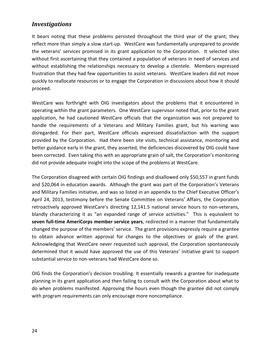It bears noting that these problems persisted throughout the third year of the grant; they reflect more than simply a slow start-up. WestCare was fundamentally unprepared to provide the veterans' services promised in its grant application to the Corporation. It selected sites without first ascertaining that they contained a population of veterans in need of services and without establishing the relationships necessary to develop a clientele. Members expressed frustration that they had few opportunities to assist veterans. WestCare leaders did not move quickly to reallocate resources or to engage the Corporation in discussions about how it should proceed.

WestCare was forthright with OIG investigators about the problems that it encountered in operating within the grant parameters. One WestCare supervisor noted that, prior to the grant application, he had cautioned WestCare officials that the organization was not prepared to handle the requirements of a Veterans and Military Families grant, but his warning was disregarded. For their part, WestCare officials expressed dissatisfaction with the support provided by the Corporation. Had there been site visits, technical assistance, monitoring and better guidance early in the grant, they asserted, the deficiencies discovered by OIG could have been corrected. Even taking this with an appropriate grain of salt, the Corporation's monitoring did not provide adequate insight into the scope of the problems at WestCare.

The Corporation disagreed with certain OIG findings and disallowed only \$50,557 in grant funds and \$20,064 in education awards. Although the grant was part of the Corporation's Veterans and Military Families initiative, and was so listed in an appendix to the Chief Executive Officer's April 24, 2013, testimony before the Senate Committee on Veterans' Affairs, the Corporation retroactively approved WestCare's directing 12,141.5 national service hours to non-veterans, blandly characterizing it as "an expanded range of service activities." This is equivalent to **seven full-time AmeriCorps member service years**, redirected in a manner that fundamentally changed the purpose of the members' service. The grant provisions expressly require a grantee to obtain advance written approval for changes to the objectives or goals of the grant. Acknowledging that WestCare never requested such approval, the Corporation spontaneously determined that it would have approved the use of this Veterans' initiative grant to support substantial service to non-veterans had WestCare done so.

OIG finds the Corporation's decision troubling. It essentially rewards a grantee for inadequate planning in its grant application and then failing to consult with the Corporation about what to do when problems manifested. Approving the hours even though the grantee did not comply with program requirements can only encourage more noncompliance.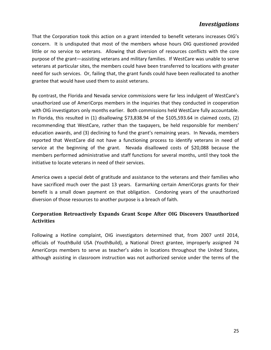That the Corporation took this action on a grant intended to benefit veterans increases OIG's concern. It is undisputed that most of the members whose hours OIG questioned provided little or no service to veterans. Allowing that diversion of resources conflicts with the core purpose of the grant—assisting veterans and military families. If WestCare was unable to serve veterans at particular sites, the members could have been transferred to locations with greater need for such services. Or, failing that, the grant funds could have been reallocated to another grantee that would have used them to assist veterans.

By contrast, the Florida and Nevada service commissions were far less indulgent of WestCare's unauthorized use of AmeriCorps members in the inquiries that they conducted in cooperation with OIG investigators only months earlier. Both commissions held WestCare fully accountable. In Florida, this resulted in (1) disallowing \$73,838.94 of the \$105,593.64 in claimed costs, (2) recommending that WestCare, rather than the taxpayers, be held responsible for members' education awards, and (3) declining to fund the grant's remaining years. In Nevada, members reported that WestCare did not have a functioning process to identify veterans in need of service at the beginning of the grant. Nevada disallowed costs of \$20,088 because the members performed administrative and staff functions for several months, until they took the initiative to locate veterans in need of their services.

America owes a special debt of gratitude and assistance to the veterans and their families who have sacrificed much over the past 13 years. Earmarking certain AmeriCorps grants for their benefit is a small down payment on that obligation. Condoning years of the unauthorized diversion of those resources to another purpose is a breach of faith.

#### <span id="page-25-0"></span>**Corporation Retroactively Expands Grant Scope After OIG Discovers Unauthorized Activities**

Following a Hotline complaint, OIG investigators determined that, from 2007 until 2014, officials of YouthBuild USA (YouthBuild), a National Direct grantee, improperly assigned 74 AmeriCorps members to serve as teacher's aides in locations throughout the United States, although assisting in classroom instruction was not authorized service under the terms of the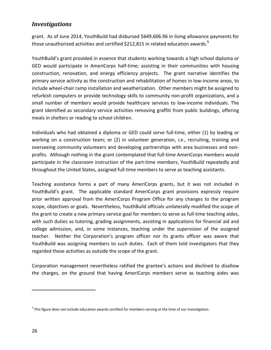grant. As of June 2014, YouthBuild had disbursed \$649,606.96 in living allowance payments for those unauthorized activities and certified \$212,815 in related education awards.<sup>5</sup>

YouthBuild's grant provided in essence that students working towards a high school diploma or GED would participate in AmeriCorps half-time; assisting in their communities with housing construction, renovation, and energy efficiency projects. The grant narrative identifies the primary service activity as the construction and rehabilitation of homes in low-income areas, to include wheel-chair ramp installation and weatherization. Other members might be assigned to refurbish computers or provide technology skills to community non-profit organizations, and a small number of members would provide healthcare services to low-income individuals. The grant identified as secondary service activities removing graffiti from public buildings, offering meals in shelters or reading to school children.

Individuals who had obtained a diploma or GED could serve full-time, either (1) by leading or working on a construction team; or (2) in volunteer generation, *i.e*., recruiting, training and overseeing community volunteers and developing partnerships with area businesses and nonprofits. Although nothing in the grant contemplated that full-time AmeriCorps members would participate in the classroom instruction of the part-time members, YouthBuild repeatedly and throughout the United States, assigned full-time members to serve as teaching assistants.

Teaching assistance forms a part of many AmeriCorps grants, but it was not included in YouthBuild's grant. The applicable standard AmeriCorps grant provisions expressly require prior written approval from the AmeriCorps Program Office for any changes to the program scope, objectives or goals. Nevertheless, YouthBuild officials unilaterally modified the scope of the grant to create a new primary service goal for members to serve as full-time teaching aides, with such duties as tutoring, grading assignments, assisting in applications for financial aid and college admission, and, in some instances, teaching under the supervision of the assigned teacher. Neither the Corporation's program officer nor its grants officer was aware that YouthBuild was assigning members to such duties. Each of them told investigators that they regarded these activities as outside the scope of the grant.

Corporation management nevertheless ratified the grantee's actions and declined to disallow the charges, on the ground that having AmeriCorps members serve as teaching aides was

 $\overline{a}$ 

<sup>&</sup>lt;sup>5</sup> This figure does not include education awards certified for members serving at the time of our investigation.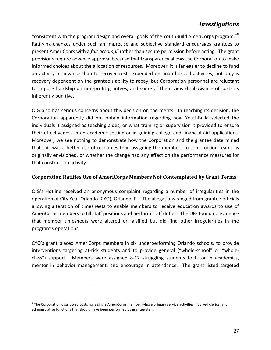"consistent with the program design and overall goals of the YouthBuild AmeriCorps program." $6$ Ratifying changes under such an imprecise and subjective standard encourages grantees to present AmeriCoprs with a *fait accompli* rather than secure permission before acting. The grant provisions require advance approval because that transparency allows the Corporation to make informed choices about the allocation of resources. Moreover, it is far easier to decline to fund an activity in advance than to recover costs expended on unauthorized activities; not only is recovery dependent on the grantee's ability to repay, but Corporation personnel are reluctant to impose hardship on non-profit grantees, and some of them view disallowance of costs as inherently punitive.

OIG also has serious concerns about this decision on the merits. In reaching its decision, the Corporation apparently did not obtain information regarding how YouthBuild selected the individuals it assigned as teaching aides, or what training or supervision it provided to ensure their effectiveness in an academic setting or in guiding college and financial aid applications. Moreover, we see nothing to demonstrate how the Corporation and the grantee determined that this was a better use of resources than assigning the members to construction teams as originally envisioned, or whether the change had any effect on the performance measures for that construction activity.

#### <span id="page-27-0"></span>**Corporation Ratifies Use of AmeriCorps Members Not Contemplated by Grant Terms**

OIG's Hotline received an anonymous complaint regarding a number of irregularities in the operation of City Year Orlando (CYO), Orlando, FL. The allegations ranged from grantee officials allowing alteration of timesheets to enable members to receive education awards to use of AmeriCorps members to fill staff positions and perform staff duties. The OIG found no evidence that member timesheets were altered or falsified but did find other irregularities in the program's operations.

CYO's grant placed AmeriCorps members in six underperforming Orlando schools, to provide interventions targeting at-risk students and to provide general ("whole-school" or "wholeclass") support. Members were assigned 8-12 struggling students to tutor in academics, mentor in behavior management, and encourage in attendance. The grant listed targeted

 $\overline{a}$ 

 $6$  The Corporation disallowed costs for a single AmeriCorps member whose primary service activities involved clerical and administrative functions that should have been performed by grantee staff.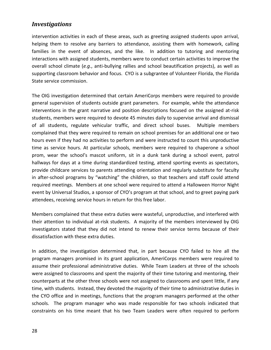intervention activities in each of these areas, such as greeting assigned students upon arrival, helping them to resolve any barriers to attendance, assisting them with homework, calling families in the event of absences, and the like. In addition to tutoring and mentoring interactions with assigned students, members were to conduct certain activities to improve the overall school climate (*e.g*., anti-bullying rallies and school beautification projects), as well as supporting classroom behavior and focus. CYO is a subgrantee of Volunteer Florida, the Florida State service commission.

The OIG investigation determined that certain AmeriCorps members were required to provide general supervision of students outside grant parameters. For example, while the attendance interventions in the grant narrative and position descriptions focused on the assigned at-risk students, members were required to devote 45 minutes daily to supervise arrival and dismissal of all students, regulate vehicular traffic, and direct school buses. Multiple members complained that they were required to remain on school premises for an additional one or two hours even if they had no activities to perform and were instructed to count this unproductive time as service hours. At particular schools, members were required to chaperone a school prom, wear the school's mascot uniform, sit in a dunk tank during a school event, patrol hallways for days at a time during standardized testing, attend sporting events as spectators, provide childcare services to parents attending orientation and regularly substitute for faculty in after-school programs by "watching" the children, so that teachers and staff could attend required meetings. Members at one school were required to attend a Halloween Horror Night event by Universal Studios, a sponsor of CYO's program at that school, and to greet paying park attendees, receiving service hours in return for this free labor.

Members complained that these extra duties were wasteful, unproductive, and interfered with their attention to individual at-risk students. A majority of the members interviewed by OIG investigators stated that they did not intend to renew their service terms because of their dissatisfaction with these extra duties.

In addition, the investigation determined that, in part because CYO failed to hire all the program managers promised in its grant application, AmeriCorps members were required to assume their professional administrative duties. While Team Leaders at three of the schools were assigned to classrooms and spent the majority of their time tutoring and mentoring, their counterparts at the other three schools were not assigned to classrooms and spent little, if any time, with students. Instead, they devoted the majority of their time to administrative duties in the CYO office and in meetings, functions that the program managers performed at the other schools. The program manager who was made responsible for two schools indicated that constraints on his time meant that his two Team Leaders were often required to perform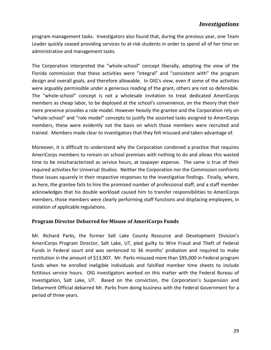program management tasks. Investigators also found that, during the previous year, one Team Leader quickly ceased providing services to at-risk students in order to spend all of her time on administrative and management tasks.

The Corporation interpreted the "whole-school" concept liberally, adopting the view of the Florida commission that these activities were "integral" and "consistent with" the program design and overall goals, and therefore allowable. In OIG's view, even if some of the activities were arguably permissible under a generous reading of the grant, others are not so defensible. The "whole-school" concept is not a wholesale invitation to treat dedicated AmeriCorps members as cheap labor, to be deployed at the school's convenience, on the theory that their mere presence provides a role model. However heavily the grantee and the Corporation rely on "whole-school" and "role model" concepts to justify the assorted tasks assigned to AmeriCorps members, these were evidently not the basis on which those members were recruited and trained. Members made clear to investigators that they felt misused and taken advantage of.

Moreover, it is difficult to understand why the Corporation condoned a practice that requires AmeriCorps members to remain on school premises with nothing to do and allows this wasted time to be mischaracterized as service hours, at taxpayer expense. The same is true of their required activities for Universal Studios. Neither the Corporation nor the Commission confronts these issues squarely in their respective responses to the investigative findings. Finally, where, as here, the grantee fails to hire the promised number of professional staff, and a staff member acknowledges that his double workload caused him to transfer responsibilities to AmeriCorps members, those members were clearly performing staff functions and displacing employees, in violation of applicable regulations.

#### <span id="page-29-0"></span>**Program Director Debarred for Misuse of AmeriCorps Funds**

Mr. Richard Parks, the former Salt Lake County Resource and Development Division's AmeriCorps Program Director, Salt Lake, UT, pled guilty to Wire Fraud and Theft of Federal Funds in Federal court and was sentenced to 36 months' probation and required to make restitution in the amount of \$13,907. Mr. Parks misused more than \$95,000 in Federal program funds when he enrolled ineligible individuals and falsified member time sheets to include fictitious service hours. OIG investigators worked on this matter with the Federal Bureau of Investigation, Salt Lake, UT. Based on the conviction, the Corporation's Suspension and Debarment Official debarred Mr. Parks from doing business with the Federal Government for a period of three years.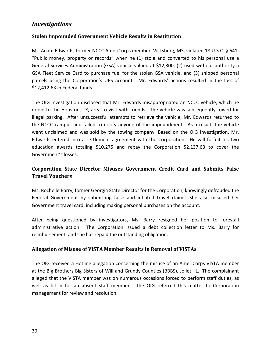#### <span id="page-30-0"></span>**Stolen Impounded Government Vehicle Results in Restitution**

Mr. Adam Edwards, former NCCC AmeriCorps member, Vicksburg, MS, violated 18 U.S.C. § 641, "Public money, property or records" when he (1) stole and converted to his personal use a General Services Administration (GSA) vehicle valued at \$12,300, (2) used without authority a GSA Fleet Service Card to purchase fuel for the stolen GSA vehicle, and (3) shipped personal parcels using the Corporation's UPS account. Mr. Edwards' actions resulted in the loss of \$12,412.63 in Federal funds.

The OIG investigation disclosed that Mr. Edwards misappropriated an NCCC vehicle, which he drove to the Houston, TX, area to visit with friends. The vehicle was subsequently towed for illegal parking. After unsuccessful attempts to retrieve the vehicle, Mr. Edwards returned to the NCCC campus and failed to notify anyone of the impoundment. As a result, the vehicle went unclaimed and was sold by the towing company. Based on the OIG investigation, Mr. Edwards entered into a settlement agreement with the Corporation. He will forfeit his two education awards totaling \$10,275 and repay the Corporation \$2,137.63 to cover the Government's losses.

#### <span id="page-30-1"></span>**Corporation State Director Misuses Government Credit Card and Submits False Travel Vouchers**

Ms. Rochelle Barry, former Georgia State Director for the Corporation, knowingly defrauded the Federal Government by submitting false and inflated travel claims. She also misused her Government travel card, including making personal purchases on the account.

After being questioned by investigators, Ms. Barry resigned her position to forestall administrative action. The Corporation issued a debt collection letter to Ms. Barry for reimbursement, and she has repaid the outstanding obligation.

#### <span id="page-30-2"></span>**Allegation of Misuse of VISTA Member Results in Removal of VISTAs**

The OIG received a Hotline allegation concerning the misuse of an AmeriCorps VISTA member at the Big Brothers Big Sisters of Will and Grundy Counties (BBBS), Joliet, IL. The complainant alleged that the VISTA member was on numerous occasions forced to perform staff duties, as well as fill in for an absent staff member. The OIG referred this matter to Corporation management for review and resolution.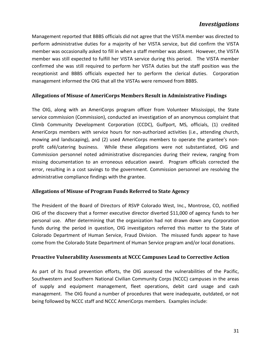Management reported that BBBS officials did not agree that the VISTA member was directed to perform administrative duties for a majority of her VISTA service, but did confirm the VISTA member was occasionally asked to fill in when a staff member was absent. However, the VISTA member was still expected to fulfill her VISTA service during this period. The VISTA member confirmed she was still required to perform her VISTA duties but the staff position was the receptionist and BBBS officials expected her to perform the clerical duties. Corporation management informed the OIG that all the VISTAs were removed from BBBS.

#### <span id="page-31-0"></span>**Allegations of Misuse of AmeriCorps Members Result in Administrative Findings**

The OIG, along with an AmeriCorps program officer from Volunteer Mississippi, the State service commission (Commission), conducted an investigation of an anonymous complaint that Climb Community Development Corporation (CCDC), Gulfport, MS, officials, (1) credited AmeriCorps members with service hours for non-authorized activities (i.e., attending church, mowing and landscaping), and (2) used AmeriCorps members to operate the grantee's nonprofit café/catering business. While these allegations were not substantiated, OIG and Commission personnel noted administrative discrepancies during their review, ranging from missing documentation to an erroneous education award. Program officials corrected the error, resulting in a cost savings to the government. Commission personnel are resolving the administrative compliance findings with the grantee.

#### <span id="page-31-1"></span>**Allegations of Misuse of Program Funds Referred to State Agency**

The President of the Board of Directors of RSVP Colorado West, Inc., Montrose, CO, notified OIG of the discovery that a former executive director diverted \$11,000 of agency funds to her personal use. After determining that the organization had not drawn down any Corporation funds during the period in question, OIG investigators referred this matter to the State of Colorado Department of Human Service, Fraud Division. The misused funds appear to have come from the Colorado State Department of Human Service program and/or local donations.

#### <span id="page-31-2"></span>**Proactive Vulnerability Assessments at NCCC Campuses Lead to Corrective Action**

As part of its fraud prevention efforts, the OIG assessed the vulnerabilities of the Pacific, Southwestern and Southern National Civilian Community Corps (NCCC) campuses in the areas of supply and equipment management, fleet operations, debit card usage and cash management. The OIG found a number of procedures that were inadequate, outdated, or not being followed by NCCC staff and NCCC AmeriCorps members. Examples include: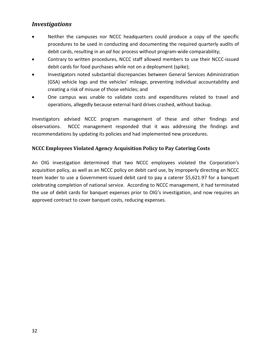- Neither the campuses nor NCCC headquarters could produce a copy of the specific procedures to be used in conducting and documenting the required quarterly audits of debit cards, resulting in an *ad hoc* process without program-wide comparability;
- Contrary to written procedures, NCCC staff allowed members to use their NCCC-issued debit cards for food purchases while not on a deployment (spike);
- Investigators noted substantial discrepancies between General Services Administration (GSA) vehicle logs and the vehicles' mileage, preventing individual accountability and creating a risk of misuse of those vehicles; and
- One campus was unable to validate costs and expenditures related to travel and operations, allegedly because external hard drives crashed, without backup.

Investigators advised NCCC program management of these and other findings and observations. NCCC management responded that it was addressing the findings and recommendations by updating its policies and had implemented new procedures.

#### <span id="page-32-0"></span>**NCCC Employees Violated Agency Acquisition Policy to Pay Catering Costs**

An OIG investigation determined that two NCCC employees violated the Corporation's acquisition policy, as well as an NCCC policy on debit card use, by improperly directing an NCCC team leader to use a Government-issued debit card to pay a caterer \$5,621.97 for a banquet celebrating completion of national service. According to NCCC management, it had terminated the use of debit cards for banquet expenses prior to OIG's investigation, and now requires an approved contract to cover banquet costs, reducing expenses.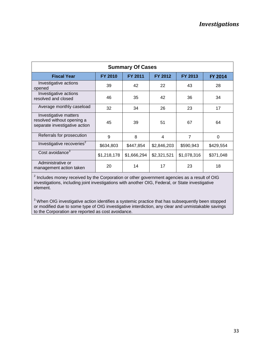| <b>Summary Of Cases</b>                                                              |                |                |             |                |                |  |
|--------------------------------------------------------------------------------------|----------------|----------------|-------------|----------------|----------------|--|
| <b>Fiscal Year</b>                                                                   | <b>FY 2010</b> | <b>FY 2011</b> | FY 2012     | <b>FY 2013</b> | <b>FY 2014</b> |  |
| Investigative actions<br>opened                                                      | 39             | 42             | 22          | 43             | 28             |  |
| Investigative actions<br>resolved and closed                                         | 46             | 35             | 42          | 36             | 34             |  |
| Average monthly caseload                                                             | 32             | 34             | 26          | 23             | 17             |  |
| Investigative matters<br>resolved without opening a<br>separate investigative action | 45             | 39             | 51          | 67             | 64             |  |
| Referrals for prosecution                                                            | 9              | 8              | 4           | $\overline{7}$ | $\Omega$       |  |
| Investigative recoveries <sup>2</sup>                                                | \$634,803      | \$447,854      | \$2,846,203 | \$590,943      | \$429,554      |  |
| Cost avoidance <sup>3</sup>                                                          | \$1,218,178    | \$1,666,294    | \$2,321,521 | \$1,078,316    | \$371,048      |  |
| Administrative or<br>management action taken                                         | 20             | 14             | 17          | 23             | 18             |  |

<sup>2</sup> Includes money received by the Corporation or other government agencies as a result of OIG investigations, including joint investigations with another OIG, Federal, or State investigative element.

<sup>3</sup> When OIG investigative action identifies a systemic practice that has subsequently been stopped or modified due to some type of OIG investigative interdiction, any clear and unmistakable savings to the Corporation are reported as cost avoidance.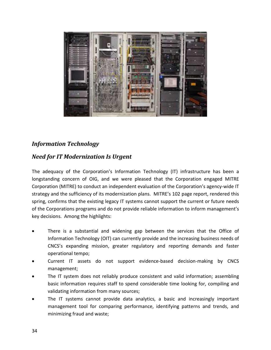

## <span id="page-34-0"></span>*Information Technology*

#### <span id="page-34-1"></span>*Need for IT Modernization Is Urgent*

The adequacy of the Corporation's Information Technology (IT) infrastructure has been a longstanding concern of OIG, and we were pleased that the Corporation engaged MITRE Corporation (MITRE) to conduct an independent evaluation of the Corporation's agency-wide IT strategy and the sufficiency of its modernization plans. MITRE's 102 page report, rendered this spring, confirms that the existing legacy IT systems cannot support the current or future needs of the Corporations programs and do not provide reliable information to inform management's key decisions. Among the highlights:

- There is a substantial and widening gap between the services that the Office of Information Technology (OIT) can currently provide and the increasing business needs of CNCS's expanding mission, greater regulatory and reporting demands and faster operational tempo;
- Current IT assets do not support evidence-based decision-making by CNCS management;
- The IT system does not reliably produce consistent and valid information; assembling basic information requires staff to spend considerable time looking for, compiling and validating information from many sources;
- The IT systems cannot provide data analytics, a basic and increasingly important management tool for comparing performance, identifying patterns and trends, and minimizing fraud and waste;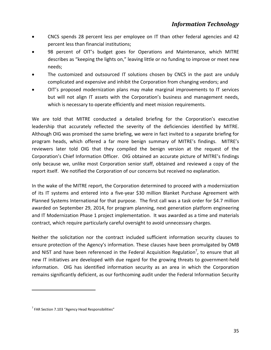- CNCS spends 28 percent less per employee on IT than other federal agencies and 42 percent less than financial institutions;
- 98 percent of OIT's budget goes for Operations and Maintenance, which MITRE describes as "keeping the lights on," leaving little or no funding to improve or meet new needs;
- The customized and outsourced IT solutions chosen by CNCS in the past are unduly complicated and expensive and inhibit the Corporation from changing vendors; and
- OIT's proposed modernization plans may make marginal improvements to IT services but will not align IT assets with the Corporation's business and management needs, which is necessary to operate efficiently and meet mission requirements.

We are told that MITRE conducted a detailed briefing for the Corporation's executive leadership that accurately reflected the severity of the deficiencies identified by MITRE. Although OIG was promised the same briefing, we were in fact invited to a separate briefing for program heads, which offered a far more benign summary of MITRE's findings. MITRE's reviewers later told OIG that they compiled the benign version at the request of the Corporation's Chief Information Officer. OIG obtained an accurate picture of MITRE's findings only because we, unlike most Corporation senior staff, obtained and reviewed a copy of the report itself. We notified the Corporation of our concerns but received no explanation.

In the wake of the MITRE report, the Corporation determined to proceed with a modernization of its IT systems and entered into a five-year \$30 million Blanket Purchase Agreement with Planned Systems International for that purpose. The first call was a task order for \$4.7 million awarded on September 29, 2014, for program planning, next generation platform engineering and IT Modernization Phase 1 project implementation. It was awarded as a time and materials contract, which require particularly careful oversight to avoid unnecessary charges.

Neither the solicitation nor the contract included sufficient information security clauses to ensure protection of the Agency's information. These clauses have been promulgated by OMB and NIST and have been referenced in the Federal Acquisition Regulation<sup>7</sup>, to ensure that all new IT initiatives are developed with due regard for the growing threats to government-held information. OIG has identified information security as an area in which the Corporation remains significantly deficient, as our forthcoming audit under the Federal Information Security

 $\overline{a}$ 

 $7$  FAR Section 7.103 "Agency Head Responsibilities"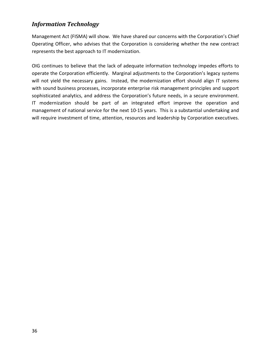#### *Information Technology*

Management Act (FISMA) will show. We have shared our concerns with the Corporation's Chief Operating Officer, who advises that the Corporation is considering whether the new contract represents the best approach to IT modernization.

OIG continues to believe that the lack of adequate information technology impedes efforts to operate the Corporation efficiently. Marginal adjustments to the Corporation's legacy systems will not yield the necessary gains. Instead, the modernization effort should align IT systems with sound business processes, incorporate enterprise risk management principles and support sophisticated analytics, and address the Corporation's future needs, in a secure environment. IT modernization should be part of an integrated effort improve the operation and management of national service for the next 10-15 years. This is a substantial undertaking and will require investment of time, attention, resources and leadership by Corporation executives.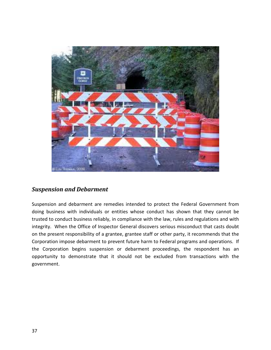

#### <span id="page-37-0"></span>*Suspension and Debarment*

Suspension and debarment are remedies intended to protect the Federal Government from doing business with individuals or entities whose conduct has shown that they cannot be trusted to conduct business reliably, in compliance with the law, rules and regulations and with integrity. When the Office of Inspector General discovers serious misconduct that casts doubt on the present responsibility of a grantee, grantee staff or other party, it recommends that the Corporation impose debarment to prevent future harm to Federal programs and operations. If the Corporation begins suspension or debarment proceedings, the respondent has an opportunity to demonstrate that it should not be excluded from transactions with the government.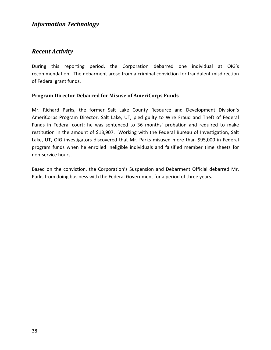#### *Information Technology*

#### <span id="page-38-0"></span>*Recent Activity*

During this reporting period, the Corporation debarred one individual at OIG's recommendation. The debarment arose from a criminal conviction for fraudulent misdirection of Federal grant funds.

#### <span id="page-38-1"></span>**Program Director Debarred for Misuse of AmeriCorps Funds**

Mr. Richard Parks, the former Salt Lake County Resource and Development Division's AmeriCorps Program Director, Salt Lake, UT, pled guilty to Wire Fraud and Theft of Federal Funds in Federal court; he was sentenced to 36 months' probation and required to make restitution in the amount of \$13,907. Working with the Federal Bureau of Investigation, Salt Lake, UT, OIG investigators discovered that Mr. Parks misused more than \$95,000 in Federal program funds when he enrolled ineligible individuals and falsified member time sheets for non-service hours.

Based on the conviction, the Corporation's Suspension and Debarment Official debarred Mr. Parks from doing business with the Federal Government for a period of three years.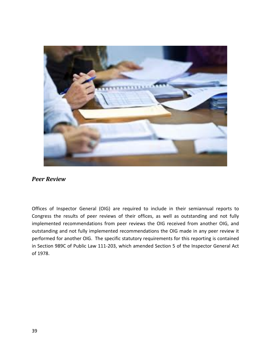

#### <span id="page-39-0"></span>*Peer Review*

Offices of Inspector General (OIG) are required to include in their semiannual reports to Congress the results of peer reviews of their offices, as well as outstanding and not fully implemented recommendations from peer reviews the OIG received from another OIG, and outstanding and not fully implemented recommendations the OIG made in any peer review it performed for another OIG. The specific statutory requirements for this reporting is contained in Section 989C of Public Law 111-203, which amended Section 5 of the Inspector General Act of 1978.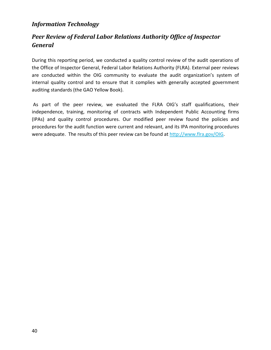#### *Information Technology*

## <span id="page-40-0"></span>*Peer Review of Federal Labor Relations Authority Office of Inspector General*

During this reporting period, we conducted a quality control review of the audit operations of the Office of Inspector General, Federal Labor Relations Authority (FLRA). External peer reviews are conducted within the OIG community to evaluate the audit organization's system of internal quality control and to ensure that it complies with generally accepted government auditing standards (the GAO Yellow Book).

As part of the peer review, we evaluated the FLRA OIG's staff qualifications, their independence, training, monitoring of contracts with Independent Public Accounting firms (IPAs) and quality control procedures. Our modified peer review found the policies and procedures for the audit function were current and relevant, and its IPA monitoring procedures were adequate. The results of this peer review can be found at [http://www.flra.gov/OIG.](http://www.flra.gov/OIG)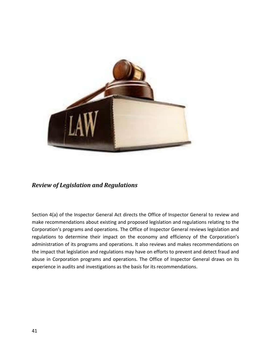

#### <span id="page-41-0"></span>*Review of Legislation and Regulations*

Section 4(a) of the Inspector General Act directs the Office of Inspector General to review and make recommendations about existing and proposed legislation and regulations relating to the Corporation's programs and operations. The Office of Inspector General reviews legislation and regulations to determine their impact on the economy and efficiency of the Corporation's administration of its programs and operations. It also reviews and makes recommendations on the impact that legislation and regulations may have on efforts to prevent and detect fraud and abuse in Corporation programs and operations. The Office of Inspector General draws on its experience in audits and investigations as the basis for its recommendations.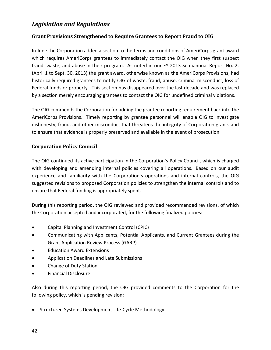#### *Legislation and Regulations*

#### <span id="page-42-0"></span>**Grant Provisions Strengthened to Require Grantees to Report Fraud to OIG**

In June the Corporation added a section to the terms and conditions of AmeriCorps grant award which requires AmeriCorps grantees to immediately contact the OIG when they first suspect fraud, waste, and abuse in their program. As noted in our FY 2013 Semiannual Report No. 2. (April 1 to Sept. 30, 2013) the grant award, otherwise known as the AmeriCorps Provisions, had historically required grantees to notify OIG of waste, fraud, abuse, criminal misconduct, loss of Federal funds or property. This section has disappeared over the last decade and was replaced by a section merely encouraging grantees to contact the OIG for undefined criminal violations.

The OIG commends the Corporation for adding the grantee reporting requirement back into the AmeriCorps Provisions. Timely reporting by grantee personnel will enable OIG to investigate dishonesty, fraud, and other misconduct that threatens the integrity of Corporation grants and to ensure that evidence is properly preserved and available in the event of prosecution.

#### <span id="page-42-1"></span>**Corporation Policy Council**

The OIG continued its active participation in the Corporation's Policy Council, which is charged with developing and amending internal policies covering all operations. Based on our audit experience and familiarity with the Corporation's operations and internal controls, the OIG suggested revisions to proposed Corporation policies to strengthen the internal controls and to ensure that Federal funding is appropriately spent.

During this reporting period, the OIG reviewed and provided recommended revisions, of which the Corporation accepted and incorporated, for the following finalized policies:

- Capital Planning and Investment Control (CPIC)
- Communicating with Applicants, Potential Applicants, and Current Grantees during the Grant Application Review Process (GARP)
- Education Award Extensions
- Application Deadlines and Late Submissions
- Change of Duty Station
- Financial Disclosure

Also during this reporting period, the OIG provided comments to the Corporation for the following policy, which is pending revision:

• Structured Systems Development Life-Cycle Methodology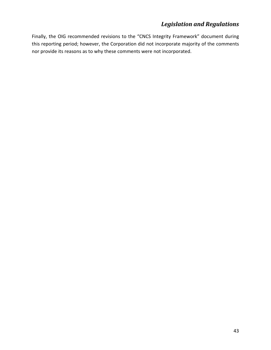## *Legislation and Regulations*

Finally, the OIG recommended revisions to the "CNCS Integrity Framework" document during this reporting period; however, the Corporation did not incorporate majority of the comments nor provide its reasons as to why these comments were not incorporated.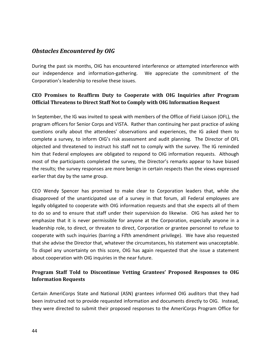#### <span id="page-44-0"></span>*Obstacles Encountered by OIG*

During the past six months, OIG has encountered interference or attempted interference with our independence and information-gathering. We appreciate the commitment of the Corporation's leadership to resolve these issues.

#### <span id="page-44-1"></span>**CEO Promises to Reaffirm Duty to Cooperate with OIG Inquiries after Program Official Threatens to Direct Staff Not to Comply with OIG Information Request**

In September, the IG was invited to speak with members of the Office of Field Liaison (OFL), the program officers for Senior Corps and VISTA. Rather than continuing her past practice of asking questions orally about the attendees' observations and experiences, the IG asked them to complete a survey, to inform OIG's risk assessment and audit planning. The Director of OFL objected and threatened to instruct his staff not to comply with the survey. The IG reminded him that Federal employees are obligated to respond to OIG information requests. Although most of the participants completed the survey, the Director's remarks appear to have biased the results; the survey responses are more benign in certain respects than the views expressed earlier that day by the same group.

CEO Wendy Spencer has promised to make clear to Corporation leaders that, while she disapproved of the unanticipated use of a survey in that forum, all Federal employees are legally obligated to cooperate with OIG information requests and that she expects all of them to do so and to ensure that staff under their supervision do likewise. OIG has asked her to emphasize that it is never permissible for anyone at the Corporation, especially anyone in a leadership role, to direct, or threaten to direct, Corporation or grantee personnel to refuse to cooperate with such inquiries (barring a Fifth amendment privilege). We have also requested that she advise the Director that, whatever the circumstances, his statement was unacceptable. To dispel any uncertainty on this score, OIG has again requested that she issue a statement about cooperation with OIG inquiries in the near future.

#### <span id="page-44-2"></span>**Program Staff Told to Discontinue Vetting Grantees' Proposed Responses to OIG Information Requests**

Certain AmeriCorps State and National (ASN) grantees informed OIG auditors that they had been instructed not to provide requested information and documents directly to OIG. Instead, they were directed to submit their proposed responses to the AmeriCorps Program Office for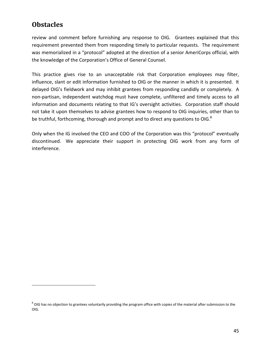## **Obstacles**

 $\overline{a}$ 

review and comment before furnishing any response to OIG. Grantees explained that this requirement prevented them from responding timely to particular requests. The requirement was memorialized in a "protocol" adopted at the direction of a senior AmeriCorps official, with the knowledge of the Corporation's Office of General Counsel.

This practice gives rise to an unacceptable risk that Corporation employees may filter, influence, slant or edit information furnished to OIG or the manner in which it is presented. It delayed OIG's fieldwork and may inhibit grantees from responding candidly or completely. A non-partisan, independent watchdog must have complete, unfiltered and timely access to all information and documents relating to that IG's oversight activities. Corporation staff should not take it upon themselves to advise grantees how to respond to OIG inquiries, other than to be truthful, forthcoming, thorough and prompt and to direct any questions to OIG.<sup>8</sup>

Only when the IG involved the CEO and COO of the Corporation was this "protocol" eventually discontinued. We appreciate their support in protecting OIG work from any form of interference.

 $8$  OIG has no objection to grantees voluntarily providing the program office with copies of the material after submission to the OIG.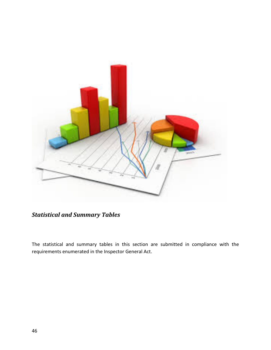

*Statistical and Summary Tables*

<span id="page-46-0"></span>The statistical and summary tables in this section are submitted in compliance with the requirements enumerated in the Inspector General Act.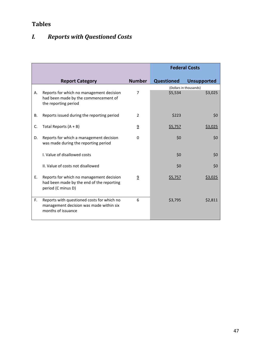## <span id="page-47-0"></span>*I. Reports with Questioned Costs*

|    |                                                                                                             |                | <b>Federal Costs</b> |                        |
|----|-------------------------------------------------------------------------------------------------------------|----------------|----------------------|------------------------|
|    | <b>Report Category</b>                                                                                      | <b>Number</b>  | <b>Questioned</b>    | <b>Unsupported</b>     |
|    |                                                                                                             |                |                      | (Dollars in thousands) |
| А. | Reports for which no management decision<br>had been made by the commencement of<br>the reporting period    | 7              | \$5,534              | \$3,025                |
| В. | Reports issued during the reporting period                                                                  | 2              | \$223                | \$0                    |
| C. | Total Reports $(A + B)$                                                                                     | $\overline{9}$ | \$5,757              | \$3,025                |
| D. | Reports for which a management decision<br>was made during the reporting period                             | 0              | 50                   | \$0                    |
|    | I. Value of disallowed costs                                                                                |                | \$0                  | \$0                    |
|    | II. Value of costs not disallowed                                                                           |                | \$0                  | \$0                    |
| Ε. | Reports for which no management decision<br>had been made by the end of the reporting<br>period (C minus D) | $\overline{a}$ | <u>\$5,757</u>       | \$3,025                |
| F. | Reports with questioned costs for which no<br>management decision was made within six<br>months of issuance | 6              | \$3,795              | \$2,811                |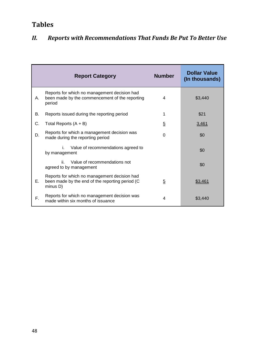|    | <b>Report Category</b>                                                                                      | <b>Number</b>  | <b>Dollar Value</b><br>(In thousands) |
|----|-------------------------------------------------------------------------------------------------------------|----------------|---------------------------------------|
| А. | Reports for which no management decision had<br>been made by the commencement of the reporting<br>period    | 4              | \$3,440                               |
| В. | Reports issued during the reporting period                                                                  | 1              | \$21                                  |
| C. | Total Reports $(A + B)$                                                                                     | $\overline{5}$ | 3,461                                 |
| D. | Reports for which a management decision was<br>made during the reporting period                             | $\Omega$       | \$0                                   |
|    | Value of recommendations agreed to<br>i.<br>by management                                                   |                | \$0                                   |
|    | Value of recommendations not<br>ii -<br>agreed to by management                                             |                | \$0                                   |
| Е. | Reports for which no management decision had<br>been made by the end of the reporting period (C<br>minus D) | $\overline{5}$ | \$3,461                               |
| F. | Reports for which no management decision was<br>made within six months of issuance                          | 4              | \$3,440                               |

## <span id="page-48-0"></span>*II. Reports with Recommendations That Funds Be Put To Better Use*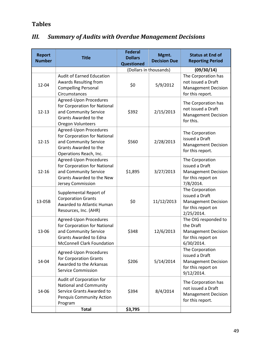## <span id="page-49-0"></span>*III. Summary of Audits with Overdue Management Decisions*

| <b>Report</b><br><b>Number</b> | <b>Title</b>                                                                                                                                          | <b>Federal</b><br><b>Dollars</b><br><b>Questioned</b> | Mgmt.<br><b>Decision Due</b> | <b>Status at End of</b><br><b>Reporting Period</b>                                                  |
|--------------------------------|-------------------------------------------------------------------------------------------------------------------------------------------------------|-------------------------------------------------------|------------------------------|-----------------------------------------------------------------------------------------------------|
|                                |                                                                                                                                                       |                                                       | (Dollars in thousands)       | (09/30/14)                                                                                          |
| 12-04                          | <b>Audit of Earned Education</b><br>Awards Resulting from<br><b>Compelling Personal</b><br>Circumstances                                              | \$0                                                   | 5/9/2012                     | The Corporation has<br>not issued a Draft<br><b>Management Decision</b><br>for this report.         |
| $12 - 13$                      | Agreed-Upon Procedures<br>for Corporation for National<br>and Community Service<br>Grants Awarded to the<br>Oregon Volunteers                         | \$392                                                 | 2/15/2013                    | The Corporation has<br>not issued a Draft<br><b>Management Decision</b><br>for this.                |
| $12 - 15$                      | Agreed-Upon Procedures<br>for Corporation for National<br>and Community Service<br>Grants Awarded to the<br>Operations Reach, Inc.                    | \$560                                                 | 2/28/2013                    | The Corporation<br>issued a Draft<br><b>Management Decision</b><br>for this report.                 |
| $12 - 16$                      | Agreed-Upon Procedures<br>for Corporation for National<br>and Community Service<br>Grants Awarded to the New<br>Jersey Commission                     | \$1,895                                               | 3/27/2013                    | The Corporation<br>issued a Draft<br><b>Management Decision</b><br>for this report on<br>7/8/2014.  |
| 13-05B                         | Supplemental Report of<br><b>Corporation Grants</b><br>Awarded to Atlantic Human<br>Resources, Inc. (AHR)                                             | \$0                                                   | 11/12/2013                   | The Corporation<br>issued a Draft<br><b>Management Decision</b><br>for this report on<br>2/25/2014. |
| 13-06                          | Agreed-Upon Procedures<br>for Corporation for National<br>and Community Service<br><b>Grants Awarded to Edna</b><br><b>McConnell Clark Foundation</b> | \$348                                                 | 12/6/2013                    | The OIG responded to<br>the Draft<br><b>Management Decision</b><br>for this report on<br>6/30/2014. |
| 14-04                          | Agreed-Upon Procedures<br>for Corporation Grants<br>Awarded to the Arkansas<br><b>Service Commission</b>                                              | \$206                                                 | 5/14/2014                    | The Corporation<br>issued a Draft<br><b>Management Decision</b><br>for this report on<br>9/12/2014. |
| 14-06                          | Audit of Corporation for<br><b>National and Community</b><br>Service Grants Awarded to<br><b>Penquis Community Action</b><br>Program                  | \$394                                                 | 8/4/2014                     | The Corporation has<br>not issued a Draft<br><b>Management Decision</b><br>for this report.         |
|                                | <b>Total</b>                                                                                                                                          | \$3,795                                               |                              |                                                                                                     |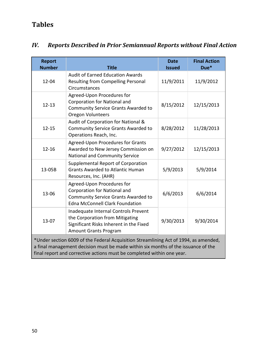## <span id="page-50-0"></span>*IV. Reports Described in Prior Semiannual Reports without Final Action*

| <b>Report</b><br><b>Number</b>                                                                                                                                                                                                                                                               | <b>Title</b>                                                                                                                                              | <b>Date</b><br><b>Issued</b> | <b>Final Action</b><br>Due* |  |
|----------------------------------------------------------------------------------------------------------------------------------------------------------------------------------------------------------------------------------------------------------------------------------------------|-----------------------------------------------------------------------------------------------------------------------------------------------------------|------------------------------|-----------------------------|--|
| 12-04                                                                                                                                                                                                                                                                                        | <b>Audit of Earned Education Awards</b><br>Resulting from Compelling Personal<br>Circumstances                                                            | 11/9/2011                    | 11/9/2012                   |  |
| $12 - 13$                                                                                                                                                                                                                                                                                    | Agreed-Upon Procedures for<br>Corporation for National and<br><b>Community Service Grants Awarded to</b><br>Oregon Volunteers                             | 8/15/2012                    | 12/15/2013                  |  |
| $12 - 15$                                                                                                                                                                                                                                                                                    | Audit of Corporation for National &<br><b>Community Service Grants Awarded to</b><br>Operations Reach, Inc.                                               | 8/28/2012                    | 11/28/2013                  |  |
| $12 - 16$                                                                                                                                                                                                                                                                                    | Agreed-Upon Procedures for Grants<br>Awarded to New Jersey Commission on<br>National and Community Service                                                | 9/27/2012                    | 12/15/2013                  |  |
| 13-05B                                                                                                                                                                                                                                                                                       | Supplemental Report of Corporation<br><b>Grants Awarded to Atlantic Human</b><br>Resources, Inc. (AHR)                                                    | 5/9/2013                     | 5/9/2014                    |  |
| 13-06                                                                                                                                                                                                                                                                                        | Agreed-Upon Procedures for<br><b>Corporation for National and</b><br><b>Community Service Grants Awarded to</b><br><b>Edna McConnell Clark Foundation</b> | 6/6/2013                     | 6/6/2014                    |  |
| $13 - 07$                                                                                                                                                                                                                                                                                    | Inadequate Internal Controls Prevent<br>the Corporation from Mitigating<br>Significant Risks Inherent in the Fixed<br><b>Amount Grants Program</b>        | 9/30/2013                    | 9/30/2014                   |  |
| *Under section 6009 of the Federal Acquisition Streamlining Act of 1994, as amended,<br>a final management decision must be made within six months of the issuance of the<br>the contract of the contract of the contract of the contract of the contract of the contract of the contract of |                                                                                                                                                           |                              |                             |  |

final report and corrective actions must be completed within one year.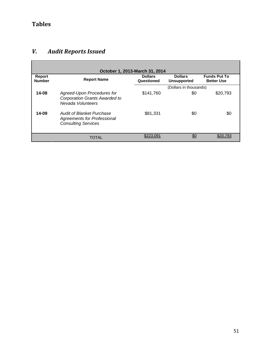F

## <span id="page-51-0"></span>*V. Audit Reports Issued*

| October 1, 2013-March 31, 2014 |                                                                                                      |                              |                                      |                                          |  |
|--------------------------------|------------------------------------------------------------------------------------------------------|------------------------------|--------------------------------------|------------------------------------------|--|
| Report<br><b>Number</b>        | <b>Report Name</b>                                                                                   | <b>Dollars</b><br>Questioned | <b>Dollars</b><br><b>Unsupported</b> | <b>Funds Put To</b><br><b>Better Use</b> |  |
|                                |                                                                                                      |                              | (Dollars in thousands)               |                                          |  |
| $14 - 08$                      | Agreed-Upon Procedures for<br><b>Corporation Grants Awarded to</b><br>Nevada Volunteers              | \$141.760                    | \$0                                  | \$20,793                                 |  |
| 14-09                          | <b>Audit of Blanket Purchase</b><br><b>Agreements for Professional</b><br><b>Consulting Services</b> | \$81.331                     | \$0                                  | \$0                                      |  |
|                                | TOTAL                                                                                                | \$223.091                    | \$0                                  | \$20.793                                 |  |